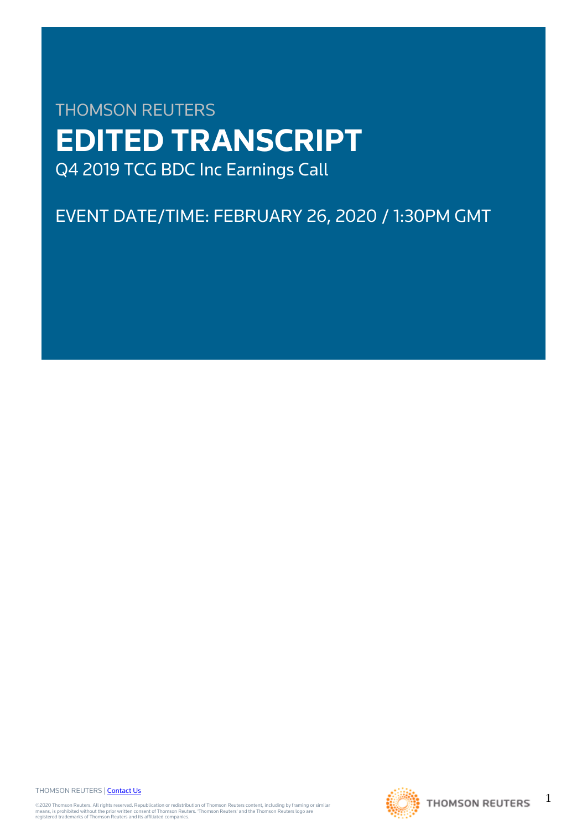# THOMSON REUTERS **EDITED TRANSCRIPT** Q4 2019 TCG BDC Inc Earnings Call

## EVENT DATE/TIME: FEBRUARY 26, 2020 / 1:30PM GMT

THOMSON REUTERS | [Contact Us](https://my.thomsonreuters.com/ContactUsNew)

©2020 Thomson Reuters. All rights reserved. Republication or redistribution of Thomson Reuters content, including by framing or similar<br>means, is prohibited without the prior written consent of Thomson Reuters. 'Thomson Re



1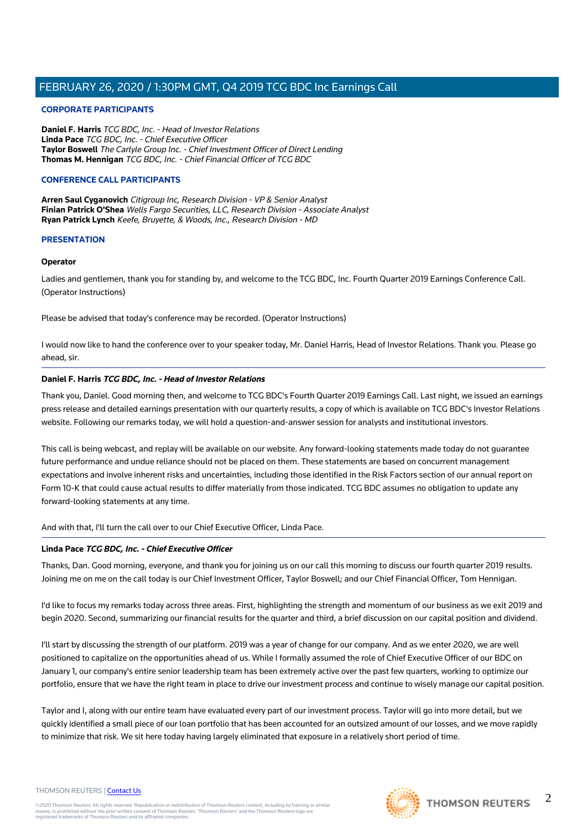#### **CORPORATE PARTICIPANTS**

**Daniel F. Harris** TCG BDC, Inc. - Head of Investor Relations **Linda Pace** TCG BDC, Inc. - Chief Executive Officer **Taylor Boswell** The Carlyle Group Inc. - Chief Investment Officer of Direct Lending **Thomas M. Hennigan** TCG BDC, Inc. - Chief Financial Officer of TCG BDC

#### **CONFERENCE CALL PARTICIPANTS**

**Arren Saul Cyganovich** Citigroup Inc, Research Division - VP & Senior Analyst **Finian Patrick O'Shea** Wells Fargo Securities, LLC, Research Division - Associate Analyst **Ryan Patrick Lynch** Keefe, Bruyette, & Woods, Inc., Research Division - MD

#### **PRESENTATION**

#### **Operator**

Ladies and gentlemen, thank you for standing by, and welcome to the TCG BDC, Inc. Fourth Quarter 2019 Earnings Conference Call. (Operator Instructions)

Please be advised that today's conference may be recorded. (Operator Instructions)

I would now like to hand the conference over to your speaker today, Mr. Daniel Harris, Head of Investor Relations. Thank you. Please go ahead, sir.

#### **Daniel F. Harris TCG BDC, Inc. - Head of Investor Relations**

Thank you, Daniel. Good morning then, and welcome to TCG BDC's Fourth Quarter 2019 Earnings Call. Last night, we issued an earnings press release and detailed earnings presentation with our quarterly results, a copy of which is available on TCG BDC's Investor Relations website. Following our remarks today, we will hold a question-and-answer session for analysts and institutional investors.

This call is being webcast, and replay will be available on our website. Any forward-looking statements made today do not guarantee future performance and undue reliance should not be placed on them. These statements are based on concurrent management expectations and involve inherent risks and uncertainties, including those identified in the Risk Factors section of our annual report on Form 10-K that could cause actual results to differ materially from those indicated. TCG BDC assumes no obligation to update any forward-looking statements at any time.

And with that, I'll turn the call over to our Chief Executive Officer, Linda Pace.

#### **Linda Pace TCG BDC, Inc. - Chief Executive Officer**

Thanks, Dan. Good morning, everyone, and thank you for joining us on our call this morning to discuss our fourth quarter 2019 results. Joining me on me on the call today is our Chief Investment Officer, Taylor Boswell; and our Chief Financial Officer, Tom Hennigan.

I'd like to focus my remarks today across three areas. First, highlighting the strength and momentum of our business as we exit 2019 and begin 2020. Second, summarizing our financial results for the quarter and third, a brief discussion on our capital position and dividend.

I'll start by discussing the strength of our platform. 2019 was a year of change for our company. And as we enter 2020, we are well positioned to capitalize on the opportunities ahead of us. While I formally assumed the role of Chief Executive Officer of our BDC on January 1, our company's entire senior leadership team has been extremely active over the past few quarters, working to optimize our portfolio, ensure that we have the right team in place to drive our investment process and continue to wisely manage our capital position.

Taylor and I, along with our entire team have evaluated every part of our investment process. Taylor will go into more detail, but we quickly identified a small piece of our loan portfolio that has been accounted for an outsized amount of our losses, and we move rapidly to minimize that risk. We sit here today having largely eliminated that exposure in a relatively short period of time.

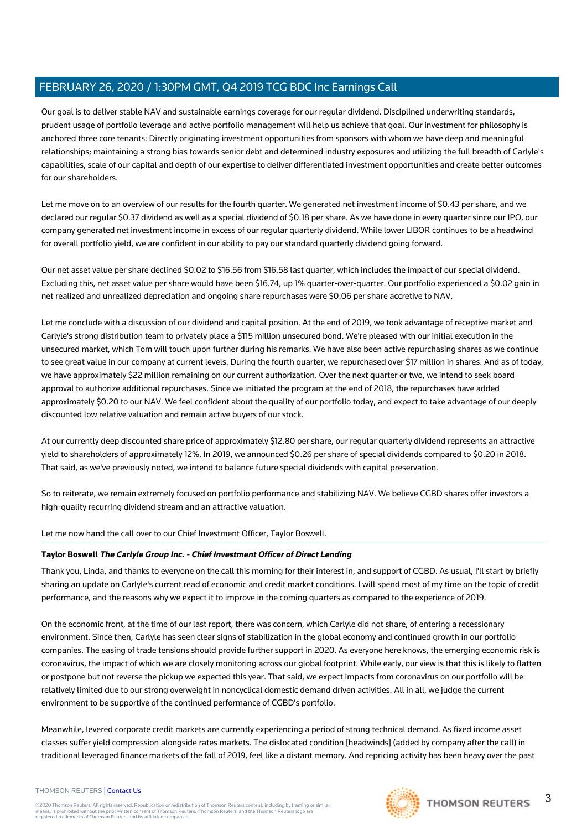Our goal is to deliver stable NAV and sustainable earnings coverage for our regular dividend. Disciplined underwriting standards, prudent usage of portfolio leverage and active portfolio management will help us achieve that goal. Our investment for philosophy is anchored three core tenants: Directly originating investment opportunities from sponsors with whom we have deep and meaningful relationships; maintaining a strong bias towards senior debt and determined industry exposures and utilizing the full breadth of Carlyle's capabilities, scale of our capital and depth of our expertise to deliver differentiated investment opportunities and create better outcomes for our shareholders.

Let me move on to an overview of our results for the fourth quarter. We generated net investment income of \$0.43 per share, and we declared our regular \$0.37 dividend as well as a special dividend of \$0.18 per share. As we have done in every quarter since our IPO, our company generated net investment income in excess of our regular quarterly dividend. While lower LIBOR continues to be a headwind for overall portfolio yield, we are confident in our ability to pay our standard quarterly dividend going forward.

Our net asset value per share declined \$0.02 to \$16.56 from \$16.58 last quarter, which includes the impact of our special dividend. Excluding this, net asset value per share would have been \$16.74, up 1% quarter-over-quarter. Our portfolio experienced a \$0.02 gain in net realized and unrealized depreciation and ongoing share repurchases were \$0.06 per share accretive to NAV.

Let me conclude with a discussion of our dividend and capital position. At the end of 2019, we took advantage of receptive market and Carlyle's strong distribution team to privately place a \$115 million unsecured bond. We're pleased with our initial execution in the unsecured market, which Tom will touch upon further during his remarks. We have also been active repurchasing shares as we continue to see great value in our company at current levels. During the fourth quarter, we repurchased over \$17 million in shares. And as of today, we have approximately \$22 million remaining on our current authorization. Over the next quarter or two, we intend to seek board approval to authorize additional repurchases. Since we initiated the program at the end of 2018, the repurchases have added approximately \$0.20 to our NAV. We feel confident about the quality of our portfolio today, and expect to take advantage of our deeply discounted low relative valuation and remain active buyers of our stock.

At our currently deep discounted share price of approximately \$12.80 per share, our regular quarterly dividend represents an attractive yield to shareholders of approximately 12%. In 2019, we announced \$0.26 per share of special dividends compared to \$0.20 in 2018. That said, as we've previously noted, we intend to balance future special dividends with capital preservation.

So to reiterate, we remain extremely focused on portfolio performance and stabilizing NAV. We believe CGBD shares offer investors a high-quality recurring dividend stream and an attractive valuation.

Let me now hand the call over to our Chief Investment Officer, Taylor Boswell.

#### **Taylor Boswell The Carlyle Group Inc. - Chief Investment Officer of Direct Lending**

Thank you, Linda, and thanks to everyone on the call this morning for their interest in, and support of CGBD. As usual, I'll start by briefly sharing an update on Carlyle's current read of economic and credit market conditions. I will spend most of my time on the topic of credit performance, and the reasons why we expect it to improve in the coming quarters as compared to the experience of 2019.

On the economic front, at the time of our last report, there was concern, which Carlyle did not share, of entering a recessionary environment. Since then, Carlyle has seen clear signs of stabilization in the global economy and continued growth in our portfolio companies. The easing of trade tensions should provide further support in 2020. As everyone here knows, the emerging economic risk is coronavirus, the impact of which we are closely monitoring across our global footprint. While early, our view is that this is likely to flatten or postpone but not reverse the pickup we expected this year. That said, we expect impacts from coronavirus on our portfolio will be relatively limited due to our strong overweight in noncyclical domestic demand driven activities. All in all, we judge the current environment to be supportive of the continued performance of CGBD's portfolio.

Meanwhile, levered corporate credit markets are currently experiencing a period of strong technical demand. As fixed income asset classes suffer yield compression alongside rates markets. The dislocated condition [headwinds] (added by company after the call) in traditional leveraged finance markets of the fall of 2019, feel like a distant memory. And repricing activity has been heavy over the past

#### THOMSON REUTERS | [Contact Us](https://my.thomsonreuters.com/ContactUsNew)

©2020 Thomson Reuters. All rights reserved. Republication or redistribution of Thomson Reuters content, including by framing or similar<br>means, is prohibited without the prior written consent of Thomson Reuters. 'Thomson Re

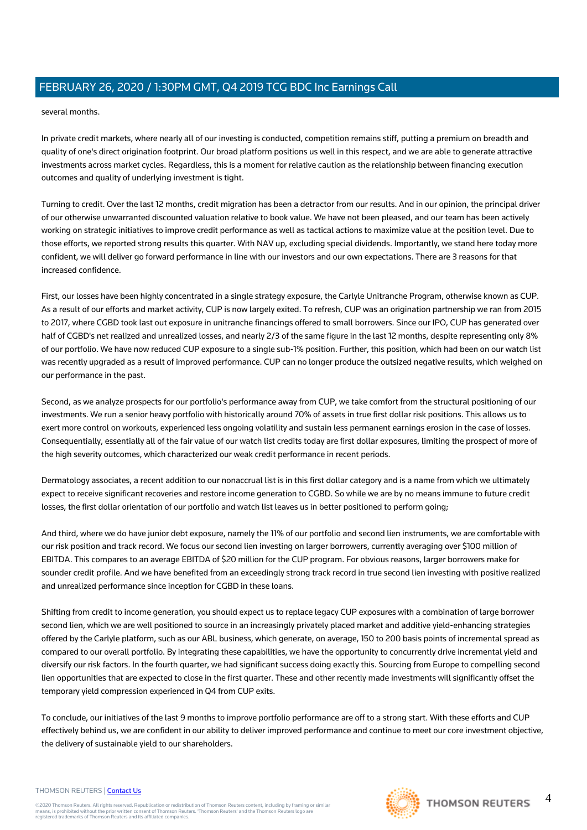several months.

In private credit markets, where nearly all of our investing is conducted, competition remains stiff, putting a premium on breadth and quality of one's direct origination footprint. Our broad platform positions us well in this respect, and we are able to generate attractive investments across market cycles. Regardless, this is a moment for relative caution as the relationship between financing execution outcomes and quality of underlying investment is tight.

Turning to credit. Over the last 12 months, credit migration has been a detractor from our results. And in our opinion, the principal driver of our otherwise unwarranted discounted valuation relative to book value. We have not been pleased, and our team has been actively working on strategic initiatives to improve credit performance as well as tactical actions to maximize value at the position level. Due to those efforts, we reported strong results this quarter. With NAV up, excluding special dividends. Importantly, we stand here today more confident, we will deliver go forward performance in line with our investors and our own expectations. There are 3 reasons for that increased confidence.

First, our losses have been highly concentrated in a single strategy exposure, the Carlyle Unitranche Program, otherwise known as CUP. As a result of our efforts and market activity, CUP is now largely exited. To refresh, CUP was an origination partnership we ran from 2015 to 2017, where CGBD took last out exposure in unitranche financings offered to small borrowers. Since our IPO, CUP has generated over half of CGBD's net realized and unrealized losses, and nearly 2/3 of the same figure in the last 12 months, despite representing only 8% of our portfolio. We have now reduced CUP exposure to a single sub-1% position. Further, this position, which had been on our watch list was recently upgraded as a result of improved performance. CUP can no longer produce the outsized negative results, which weighed on our performance in the past.

Second, as we analyze prospects for our portfolio's performance away from CUP, we take comfort from the structural positioning of our investments. We run a senior heavy portfolio with historically around 70% of assets in true first dollar risk positions. This allows us to exert more control on workouts, experienced less ongoing volatility and sustain less permanent earnings erosion in the case of losses. Consequentially, essentially all of the fair value of our watch list credits today are first dollar exposures, limiting the prospect of more of the high severity outcomes, which characterized our weak credit performance in recent periods.

Dermatology associates, a recent addition to our nonaccrual list is in this first dollar category and is a name from which we ultimately expect to receive significant recoveries and restore income generation to CGBD. So while we are by no means immune to future credit losses, the first dollar orientation of our portfolio and watch list leaves us in better positioned to perform going;

And third, where we do have junior debt exposure, namely the 11% of our portfolio and second lien instruments, we are comfortable with our risk position and track record. We focus our second lien investing on larger borrowers, currently averaging over \$100 million of EBITDA. This compares to an average EBITDA of \$20 million for the CUP program. For obvious reasons, larger borrowers make for sounder credit profile. And we have benefited from an exceedingly strong track record in true second lien investing with positive realized and unrealized performance since inception for CGBD in these loans.

Shifting from credit to income generation, you should expect us to replace legacy CUP exposures with a combination of large borrower second lien, which we are well positioned to source in an increasingly privately placed market and additive yield-enhancing strategies offered by the Carlyle platform, such as our ABL business, which generate, on average, 150 to 200 basis points of incremental spread as compared to our overall portfolio. By integrating these capabilities, we have the opportunity to concurrently drive incremental yield and diversify our risk factors. In the fourth quarter, we had significant success doing exactly this. Sourcing from Europe to compelling second lien opportunities that are expected to close in the first quarter. These and other recently made investments will significantly offset the temporary yield compression experienced in Q4 from CUP exits.

To conclude, our initiatives of the last 9 months to improve portfolio performance are off to a strong start. With these efforts and CUP effectively behind us, we are confident in our ability to deliver improved performance and continue to meet our core investment objective, the delivery of sustainable yield to our shareholders.

#### THOMSON REUTERS | [Contact Us](https://my.thomsonreuters.com/ContactUsNew)

©2020 Thomson Reuters. All rights reserved. Republication or redistribution of Thomson Reuters content, including by framing or similar<br>means, is prohibited without the prior written consent of Thomson Reuters. 'Thomson Re

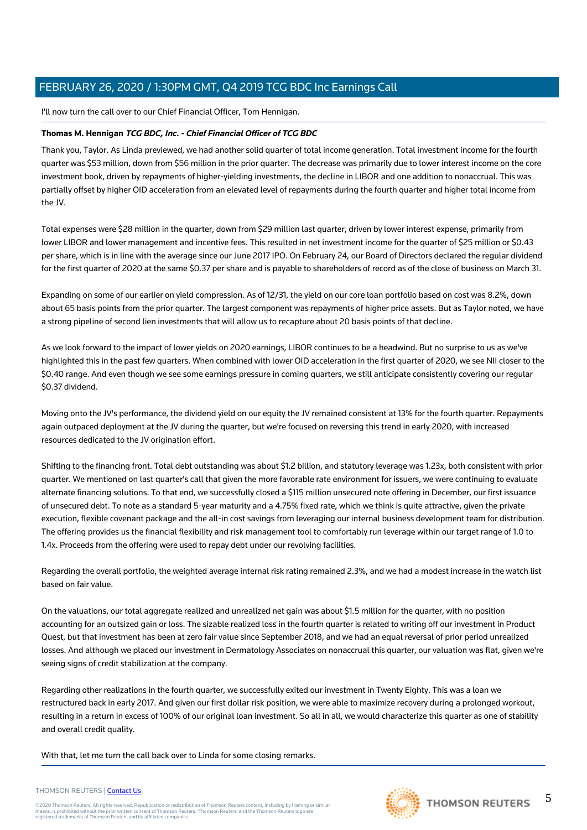I'll now turn the call over to our Chief Financial Officer, Tom Hennigan.

#### **Thomas M. Hennigan TCG BDC, Inc. - Chief Financial Officer of TCG BDC**

Thank you, Taylor. As Linda previewed, we had another solid quarter of total income generation. Total investment income for the fourth quarter was \$53 million, down from \$56 million in the prior quarter. The decrease was primarily due to lower interest income on the core investment book, driven by repayments of higher-yielding investments, the decline in LIBOR and one addition to nonaccrual. This was partially offset by higher OID acceleration from an elevated level of repayments during the fourth quarter and higher total income from the JV.

Total expenses were \$28 million in the quarter, down from \$29 million last quarter, driven by lower interest expense, primarily from lower LIBOR and lower management and incentive fees. This resulted in net investment income for the quarter of \$25 million or \$0.43 per share, which is in line with the average since our June 2017 IPO. On February 24, our Board of Directors declared the regular dividend for the first quarter of 2020 at the same \$0.37 per share and is payable to shareholders of record as of the close of business on March 31.

Expanding on some of our earlier on yield compression. As of 12/31, the yield on our core loan portfolio based on cost was 8.2%, down about 65 basis points from the prior quarter. The largest component was repayments of higher price assets. But as Taylor noted, we have a strong pipeline of second lien investments that will allow us to recapture about 20 basis points of that decline.

As we look forward to the impact of lower yields on 2020 earnings, LIBOR continues to be a headwind. But no surprise to us as we've highlighted this in the past few quarters. When combined with lower OID acceleration in the first quarter of 2020, we see NII closer to the \$0.40 range. And even though we see some earnings pressure in coming quarters, we still anticipate consistently covering our regular \$0.37 dividend.

Moving onto the JV's performance, the dividend yield on our equity the JV remained consistent at 13% for the fourth quarter. Repayments again outpaced deployment at the JV during the quarter, but we're focused on reversing this trend in early 2020, with increased resources dedicated to the JV origination effort.

Shifting to the financing front. Total debt outstanding was about \$1.2 billion, and statutory leverage was 1.23x, both consistent with prior quarter. We mentioned on last quarter's call that given the more favorable rate environment for issuers, we were continuing to evaluate alternate financing solutions. To that end, we successfully closed a \$115 million unsecured note offering in December, our first issuance of unsecured debt. To note as a standard 5-year maturity and a 4.75% fixed rate, which we think is quite attractive, given the private execution, flexible covenant package and the all-in cost savings from leveraging our internal business development team for distribution. The offering provides us the financial flexibility and risk management tool to comfortably run leverage within our target range of 1.0 to 1.4x. Proceeds from the offering were used to repay debt under our revolving facilities.

Regarding the overall portfolio, the weighted average internal risk rating remained 2.3%, and we had a modest increase in the watch list based on fair value.

On the valuations, our total aggregate realized and unrealized net gain was about \$1.5 million for the quarter, with no position accounting for an outsized gain or loss. The sizable realized loss in the fourth quarter is related to writing off our investment in Product Quest, but that investment has been at zero fair value since September 2018, and we had an equal reversal of prior period unrealized losses. And although we placed our investment in Dermatology Associates on nonaccrual this quarter, our valuation was flat, given we're seeing signs of credit stabilization at the company.

Regarding other realizations in the fourth quarter, we successfully exited our investment in Twenty Eighty. This was a loan we restructured back in early 2017. And given our first dollar risk position, we were able to maximize recovery during a prolonged workout, resulting in a return in excess of 100% of our original loan investment. So all in all, we would characterize this quarter as one of stability and overall credit quality.

With that, let me turn the call back over to Linda for some closing remarks.



## THOMSON REUTERS

## ©2020 Thomson Reuters. All rights reserved. Republication or redistribution of Thomson Reuters content, including by framing or similar<br>means, is prohibited without the prior written consent of Thomson Reuters. 'Thomson Re

THOMSON REUTERS | [Contact Us](https://my.thomsonreuters.com/ContactUsNew)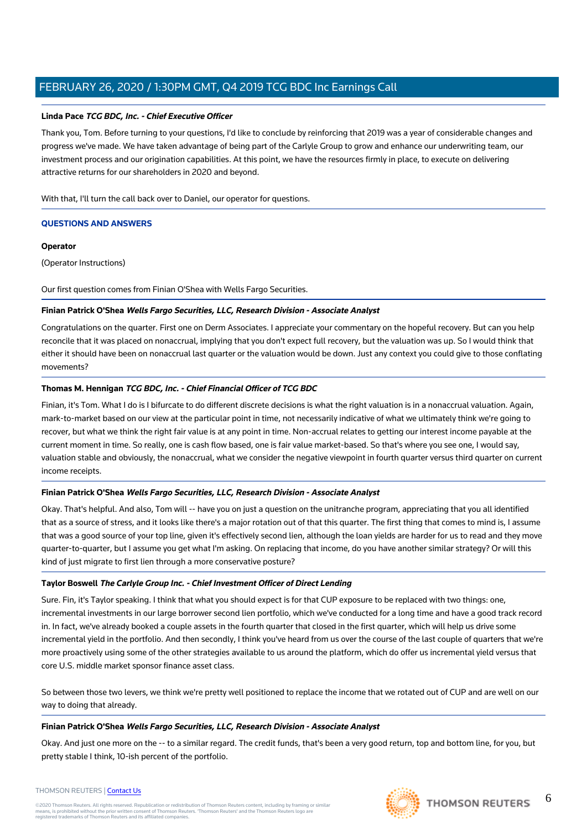#### **Linda Pace TCG BDC, Inc. - Chief Executive Officer**

Thank you, Tom. Before turning to your questions, I'd like to conclude by reinforcing that 2019 was a year of considerable changes and progress we've made. We have taken advantage of being part of the Carlyle Group to grow and enhance our underwriting team, our investment process and our origination capabilities. At this point, we have the resources firmly in place, to execute on delivering attractive returns for our shareholders in 2020 and beyond.

With that, I'll turn the call back over to Daniel, our operator for questions.

#### **QUESTIONS AND ANSWERS**

#### **Operator**

(Operator Instructions)

Our first question comes from Finian O'Shea with Wells Fargo Securities.

#### **Finian Patrick O'Shea Wells Fargo Securities, LLC, Research Division - Associate Analyst**

Congratulations on the quarter. First one on Derm Associates. I appreciate your commentary on the hopeful recovery. But can you help reconcile that it was placed on nonaccrual, implying that you don't expect full recovery, but the valuation was up. So I would think that either it should have been on nonaccrual last quarter or the valuation would be down. Just any context you could give to those conflating movements?

#### **Thomas M. Hennigan TCG BDC, Inc. - Chief Financial Officer of TCG BDC**

Finian, it's Tom. What I do is I bifurcate to do different discrete decisions is what the right valuation is in a nonaccrual valuation. Again, mark-to-market based on our view at the particular point in time, not necessarily indicative of what we ultimately think we're going to recover, but what we think the right fair value is at any point in time. Non-accrual relates to getting our interest income payable at the current moment in time. So really, one is cash flow based, one is fair value market-based. So that's where you see one, I would say, valuation stable and obviously, the nonaccrual, what we consider the negative viewpoint in fourth quarter versus third quarter on current income receipts.

#### **Finian Patrick O'Shea Wells Fargo Securities, LLC, Research Division - Associate Analyst**

Okay. That's helpful. And also, Tom will -- have you on just a question on the unitranche program, appreciating that you all identified that as a source of stress, and it looks like there's a major rotation out of that this quarter. The first thing that comes to mind is, I assume that was a good source of your top line, given it's effectively second lien, although the loan yields are harder for us to read and they move quarter-to-quarter, but I assume you get what I'm asking. On replacing that income, do you have another similar strategy? Or will this kind of just migrate to first lien through a more conservative posture?

#### **Taylor Boswell The Carlyle Group Inc. - Chief Investment Officer of Direct Lending**

Sure. Fin, it's Taylor speaking. I think that what you should expect is for that CUP exposure to be replaced with two things: one, incremental investments in our large borrower second lien portfolio, which we've conducted for a long time and have a good track record in. In fact, we've already booked a couple assets in the fourth quarter that closed in the first quarter, which will help us drive some incremental yield in the portfolio. And then secondly, I think you've heard from us over the course of the last couple of quarters that we're more proactively using some of the other strategies available to us around the platform, which do offer us incremental yield versus that core U.S. middle market sponsor finance asset class.

So between those two levers, we think we're pretty well positioned to replace the income that we rotated out of CUP and are well on our way to doing that already.

#### **Finian Patrick O'Shea Wells Fargo Securities, LLC, Research Division - Associate Analyst**

Okay. And just one more on the -- to a similar regard. The credit funds, that's been a very good return, top and bottom line, for you, but pretty stable I think, 10-ish percent of the portfolio.

#### THOMSON REUTERS | [Contact Us](https://my.thomsonreuters.com/ContactUsNew)

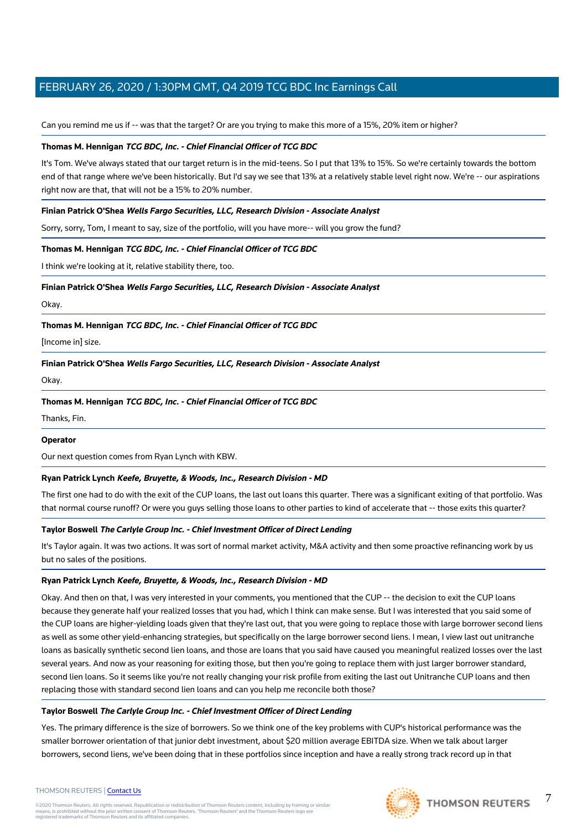Can you remind me us if -- was that the target? Or are you trying to make this more of a 15%, 20% item or higher?

#### **Thomas M. Hennigan TCG BDC, Inc. - Chief Financial Officer of TCG BDC**

It's Tom. We've always stated that our target return is in the mid-teens. So I put that 13% to 15%. So we're certainly towards the bottom end of that range where we've been historically. But I'd say we see that 13% at a relatively stable level right now. We're -- our aspirations right now are that, that will not be a 15% to 20% number.

#### **Finian Patrick O'Shea Wells Fargo Securities, LLC, Research Division - Associate Analyst**

Sorry, sorry, Tom, I meant to say, size of the portfolio, will you have more-- will you grow the fund?

#### **Thomas M. Hennigan TCG BDC, Inc. - Chief Financial Officer of TCG BDC**

I think we're looking at it, relative stability there, too.

#### **Finian Patrick O'Shea Wells Fargo Securities, LLC, Research Division - Associate Analyst**

Okay.

#### **Thomas M. Hennigan TCG BDC, Inc. - Chief Financial Officer of TCG BDC**

[Income in] size.

**Finian Patrick O'Shea Wells Fargo Securities, LLC, Research Division - Associate Analyst**

Okay.

**Thomas M. Hennigan TCG BDC, Inc. - Chief Financial Officer of TCG BDC**

Thanks, Fin.

#### **Operator**

Our next question comes from Ryan Lynch with KBW.

#### **Ryan Patrick Lynch Keefe, Bruyette, & Woods, Inc., Research Division - MD**

The first one had to do with the exit of the CUP loans, the last out loans this quarter. There was a significant exiting of that portfolio. Was that normal course runoff? Or were you guys selling those loans to other parties to kind of accelerate that -- those exits this quarter?

#### **Taylor Boswell The Carlyle Group Inc. - Chief Investment Officer of Direct Lending**

It's Taylor again. It was two actions. It was sort of normal market activity, M&A activity and then some proactive refinancing work by us but no sales of the positions.

#### **Ryan Patrick Lynch Keefe, Bruyette, & Woods, Inc., Research Division - MD**

Okay. And then on that, I was very interested in your comments, you mentioned that the CUP -- the decision to exit the CUP loans because they generate half your realized losses that you had, which I think can make sense. But I was interested that you said some of the CUP loans are higher-yielding loads given that they're last out, that you were going to replace those with large borrower second liens as well as some other yield-enhancing strategies, but specifically on the large borrower second liens. I mean, I view last out unitranche loans as basically synthetic second lien loans, and those are loans that you said have caused you meaningful realized losses over the last several years. And now as your reasoning for exiting those, but then you're going to replace them with just larger borrower standard, second lien loans. So it seems like you're not really changing your risk profile from exiting the last out Unitranche CUP loans and then replacing those with standard second lien loans and can you help me reconcile both those?

#### **Taylor Boswell The Carlyle Group Inc. - Chief Investment Officer of Direct Lending**

Yes. The primary difference is the size of borrowers. So we think one of the key problems with CUP's historical performance was the smaller borrower orientation of that junior debt investment, about \$20 million average EBITDA size. When we talk about larger borrowers, second liens, we've been doing that in these portfolios since inception and have a really strong track record up in that



7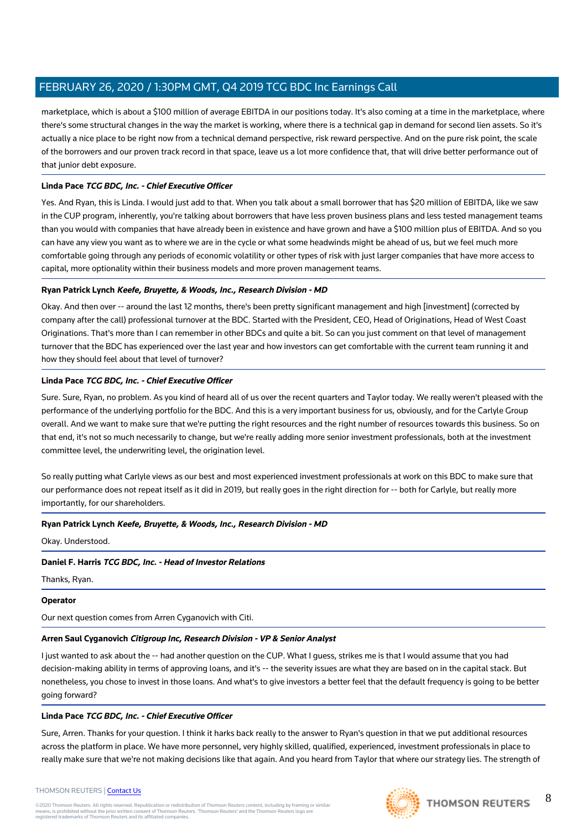marketplace, which is about a \$100 million of average EBITDA in our positions today. It's also coming at a time in the marketplace, where there's some structural changes in the way the market is working, where there is a technical gap in demand for second lien assets. So it's actually a nice place to be right now from a technical demand perspective, risk reward perspective. And on the pure risk point, the scale of the borrowers and our proven track record in that space, leave us a lot more confidence that, that will drive better performance out of that junior debt exposure.

#### **Linda Pace TCG BDC, Inc. - Chief Executive Officer**

Yes. And Ryan, this is Linda. I would just add to that. When you talk about a small borrower that has \$20 million of EBITDA, like we saw in the CUP program, inherently, you're talking about borrowers that have less proven business plans and less tested management teams than you would with companies that have already been in existence and have grown and have a \$100 million plus of EBITDA. And so you can have any view you want as to where we are in the cycle or what some headwinds might be ahead of us, but we feel much more comfortable going through any periods of economic volatility or other types of risk with just larger companies that have more access to capital, more optionality within their business models and more proven management teams.

#### **Ryan Patrick Lynch Keefe, Bruyette, & Woods, Inc., Research Division - MD**

Okay. And then over -- around the last 12 months, there's been pretty significant management and high [investment] (corrected by company after the call) professional turnover at the BDC. Started with the President, CEO, Head of Originations, Head of West Coast Originations. That's more than I can remember in other BDCs and quite a bit. So can you just comment on that level of management turnover that the BDC has experienced over the last year and how investors can get comfortable with the current team running it and how they should feel about that level of turnover?

#### **Linda Pace TCG BDC, Inc. - Chief Executive Officer**

Sure. Sure, Ryan, no problem. As you kind of heard all of us over the recent quarters and Taylor today. We really weren't pleased with the performance of the underlying portfolio for the BDC. And this is a very important business for us, obviously, and for the Carlyle Group overall. And we want to make sure that we're putting the right resources and the right number of resources towards this business. So on that end, it's not so much necessarily to change, but we're really adding more senior investment professionals, both at the investment committee level, the underwriting level, the origination level.

So really putting what Carlyle views as our best and most experienced investment professionals at work on this BDC to make sure that our performance does not repeat itself as it did in 2019, but really goes in the right direction for -- both for Carlyle, but really more importantly, for our shareholders.

#### **Ryan Patrick Lynch Keefe, Bruyette, & Woods, Inc., Research Division - MD**

Okay. Understood.

#### **Daniel F. Harris TCG BDC, Inc. - Head of Investor Relations**

Thanks, Ryan.

#### **Operator**

Our next question comes from Arren Cyganovich with Citi.

#### **Arren Saul Cyganovich Citigroup Inc, Research Division - VP & Senior Analyst**

I just wanted to ask about the -- had another question on the CUP. What I guess, strikes me is that I would assume that you had decision-making ability in terms of approving loans, and it's -- the severity issues are what they are based on in the capital stack. But nonetheless, you chose to invest in those loans. And what's to give investors a better feel that the default frequency is going to be better going forward?

#### **Linda Pace TCG BDC, Inc. - Chief Executive Officer**

Sure, Arren. Thanks for your question. I think it harks back really to the answer to Ryan's question in that we put additional resources across the platform in place. We have more personnel, very highly skilled, qualified, experienced, investment professionals in place to really make sure that we're not making decisions like that again. And you heard from Taylor that where our strategy lies. The strength of

#### THOMSON REUTERS | [Contact Us](https://my.thomsonreuters.com/ContactUsNew)

©2020 Thomson Reuters. All rights reserved. Republication or redistribution of Thomson Reuters content, including by framing or similar<br>means, is prohibited without the prior written consent of Thomson Reuters. 'Thomson Re